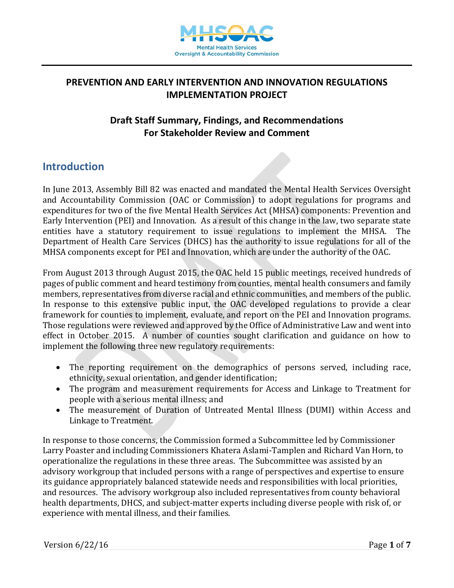

#### **PREVENTION AND EARLY INTERVENTION AND INNOVATION REGULATIONS IMPLEMENTATION PROJECT**

#### **Draft Staff Summary, Findings, and Recommendations For Stakeholder Review and Comment**

#### **Introduction**

In June 2013, Assembly Bill 82 was enacted and mandated the Mental Health Services Oversight and Accountability Commission (OAC or Commission) to adopt regulations for programs and expenditures for two of the five Mental Health Services Act (MHSA) components: Prevention and Early Intervention (PEI) and Innovation. As a result of this change in the law, two separate state entities have a statutory requirement to issue regulations to implement the MHSA. The Department of Health Care Services (DHCS) has the authority to issue regulations for all of the MHSA components except for PEI and Innovation, which are under the authority of the OAC.

From August 2013 through August 2015, the OAC held 15 public meetings, received hundreds of pages of public comment and heard testimony from counties, mental health consumers and family members, representatives from diverse racial and ethnic communities, and members of the public. In response to this extensive public input, the OAC developed regulations to provide a clear framework for counties to implement, evaluate, and report on the PEI and Innovation programs. Those regulations were reviewed and approved by the Office of Administrative Law and went into effect in October 2015. A number of counties sought clarification and guidance on how to implement the following three new regulatory requirements:

- The reporting requirement on the demographics of persons served, including race, ethnicity, sexual orientation, and gender identification;
- The program and measurement requirements for Access and Linkage to Treatment for people with a serious mental illness; and
- The measurement of Duration of Untreated Mental Illness (DUMI) within Access and Linkage to Treatment.

In response to those concerns, the Commission formed a Subcommittee led by Commissioner Larry Poaster and including Commissioners Khatera Aslami-Tamplen and Richard Van Horn, to operationalize the regulations in these three areas. The Subcommittee was assisted by an advisory workgroup that included persons with a range of perspectives and expertise to ensure its guidance appropriately balanced statewide needs and responsibilities with local priorities, and resources. The advisory workgroup also included representatives from county behavioral health departments, DHCS, and subject-matter experts including diverse people with risk of, or experience with mental illness, and their families.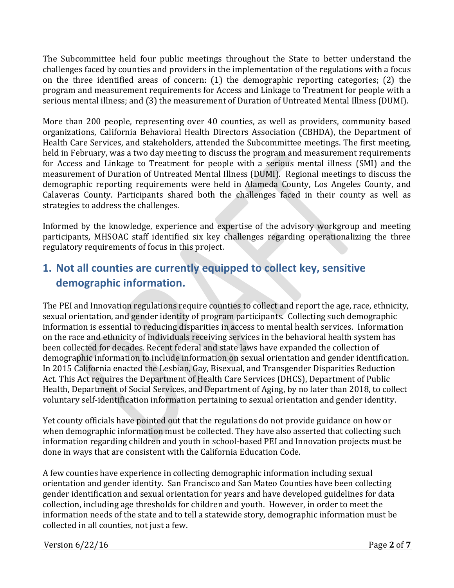The Subcommittee held four public meetings throughout the State to better understand the challenges faced by counties and providers in the implementation of the regulations with a focus on the three identified areas of concern: (1) the demographic reporting categories; (2) the program and measurement requirements for Access and Linkage to Treatment for people with a serious mental illness; and (3) the measurement of Duration of Untreated Mental Illness (DUMI).

More than 200 people, representing over 40 counties, as well as providers, community based organizations, California Behavioral Health Directors Association (CBHDA), the Department of Health Care Services, and stakeholders, attended the Subcommittee meetings. The first meeting, held in February, was a two day meeting to discuss the program and measurement requirements for Access and Linkage to Treatment for people with a serious mental illness (SMI) and the measurement of Duration of Untreated Mental Illness (DUMI). Regional meetings to discuss the demographic reporting requirements were held in Alameda County, Los Angeles County, and Calaveras County. Participants shared both the challenges faced in their county as well as strategies to address the challenges.

Informed by the knowledge, experience and expertise of the advisory workgroup and meeting participants, MHSOAC staff identified six key challenges regarding operationalizing the three regulatory requirements of focus in this project.

## **1. Not all counties are currently equipped to collect key, sensitive demographic information.**

The PEI and Innovation regulations require counties to collect and report the age, race, ethnicity, sexual orientation, and gender identity of program participants. Collecting such demographic information is essential to reducing disparities in access to mental health services. Information on the race and ethnicity of individuals receiving services in the behavioral health system has been collected for decades. Recent federal and state laws have expanded the collection of demographic information to include information on sexual orientation and gender identification. In 2015 California enacted the Lesbian, Gay, Bisexual, and Transgender Disparities Reduction Act. This Act requires the Department of Health Care Services (DHCS), Department of Public Health, Department of Social Services, and Department of Aging, by no later than 2018, to collect voluntary self-identification information pertaining to sexual orientation and gender identity.

Yet county officials have pointed out that the regulations do not provide guidance on how or when demographic information must be collected. They have also asserted that collecting such information regarding children and youth in school-based PEI and Innovation projects must be done in ways that are consistent with the California Education Code.

A few counties have experience in collecting demographic information including sexual orientation and gender identity. San Francisco and San Mateo Counties have been collecting gender identification and sexual orientation for years and have developed guidelines for data collection, including age thresholds for children and youth. However, in order to meet the information needs of the state and to tell a statewide story, demographic information must be collected in all counties, not just a few.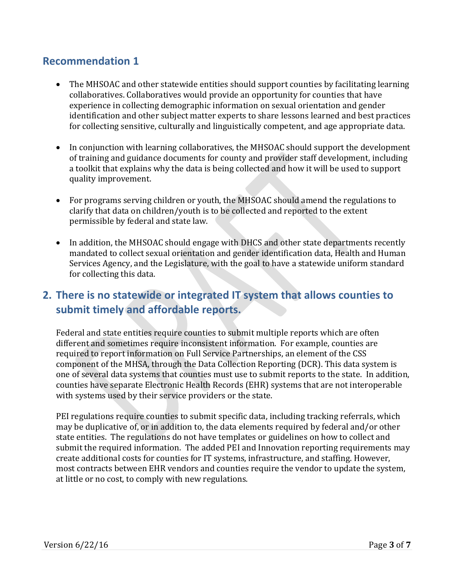#### **Recommendation 1**

- The MHSOAC and other statewide entities should support counties by facilitating learning collaboratives. Collaboratives would provide an opportunity for counties that have experience in collecting demographic information on sexual orientation and gender identification and other subject matter experts to share lessons learned and best practices for collecting sensitive, culturally and linguistically competent, and age appropriate data.
- In conjunction with learning collaboratives, the MHSOAC should support the development of training and guidance documents for county and provider staff development, including a toolkit that explains why the data is being collected and how it will be used to support quality improvement.
- For programs serving children or youth, the MHSOAC should amend the regulations to clarify that data on children/youth is to be collected and reported to the extent permissible by federal and state law.
- In addition, the MHSOAC should engage with DHCS and other state departments recently mandated to collect sexual orientation and gender identification data, Health and Human Services Agency, and the Legislature, with the goal to have a statewide uniform standard for collecting this data.

### **2. There is no statewide or integrated IT system that allows counties to submit timely and affordable reports.**

Federal and state entities require counties to submit multiple reports which are often different and sometimes require inconsistent information. For example, counties are required to report information on Full Service Partnerships, an element of the CSS component of the MHSA, through the Data Collection Reporting (DCR). This data system is one of several data systems that counties must use to submit reports to the state. In addition, counties have separate Electronic Health Records (EHR) systems that are not interoperable with systems used by their service providers or the state.

PEI regulations require counties to submit specific data, including tracking referrals, which may be duplicative of, or in addition to, the data elements required by federal and/or other state entities. The regulations do not have templates or guidelines on how to collect and submit the required information. The added PEI and Innovation reporting requirements may create additional costs for counties for IT systems, infrastructure, and staffing. However, most contracts between EHR vendors and counties require the vendor to update the system, at little or no cost, to comply with new regulations.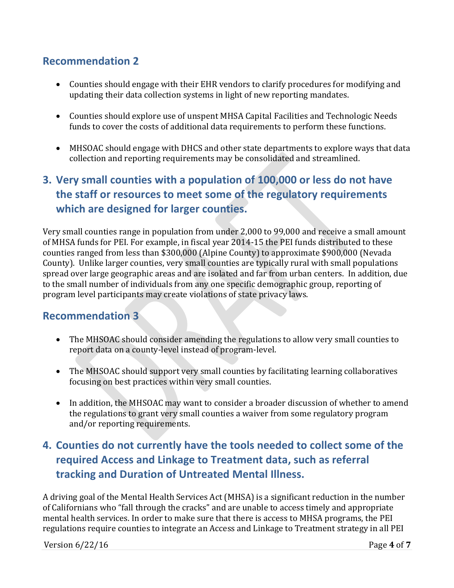### **Recommendation 2**

- Counties should engage with their EHR vendors to clarify procedures for modifying and updating their data collection systems in light of new reporting mandates.
- Counties should explore use of unspent MHSA Capital Facilities and Technologic Needs funds to cover the costs of additional data requirements to perform these functions.
- MHSOAC should engage with DHCS and other state departments to explore ways that data collection and reporting requirements may be consolidated and streamlined.

## **3. Very small counties with a population of 100,000 or less do not have the staff or resources to meet some of the regulatory requirements which are designed for larger counties.**

Very small counties range in population from under 2,000 to 99,000 and receive a small amount of MHSA funds for PEI. For example, in fiscal year 2014-15 the PEI funds distributed to these counties ranged from less than \$300,000 (Alpine County) to approximate \$900,000 (Nevada County). Unlike larger counties, very small counties are typically rural with small populations spread over large geographic areas and are isolated and far from urban centers. In addition, due to the small number of individuals from any one specific demographic group, reporting of program level participants may create violations of state privacy laws.

### **Recommendation 3**

- The MHSOAC should consider amending the regulations to allow very small counties to report data on a county-level instead of program-level.
- The MHSOAC should support very small counties by facilitating learning collaboratives focusing on best practices within very small counties.
- In addition, the MHSOAC may want to consider a broader discussion of whether to amend the regulations to grant very small counties a waiver from some regulatory program and/or reporting requirements.

## **4. Counties do not currently have the tools needed to collect some of the required Access and Linkage to Treatment data, such as referral tracking and Duration of Untreated Mental Illness.**

A driving goal of the Mental Health Services Act (MHSA) is a significant reduction in the number of Californians who "fall through the cracks" and are unable to access timely and appropriate mental health services. In order to make sure that there is access to MHSA programs, the PEI regulations require counties to integrate an Access and Linkage to Treatment strategy in all PEI

Version 6/22/16 Page **4** of **7**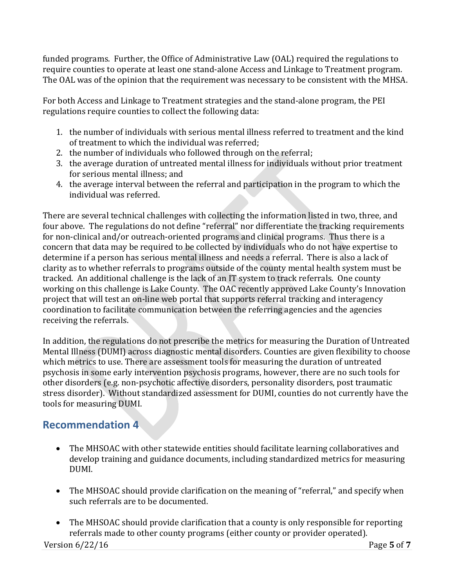funded programs. Further, the Office of Administrative Law (OAL) required the regulations to require counties to operate at least one stand-alone Access and Linkage to Treatment program. The OAL was of the opinion that the requirement was necessary to be consistent with the MHSA.

For both Access and Linkage to Treatment strategies and the stand-alone program, the PEI regulations require counties to collect the following data:

- 1. the number of individuals with serious mental illness referred to treatment and the kind of treatment to which the individual was referred;
- 2. the number of individuals who followed through on the referral;
- 3. the average duration of untreated mental illness for individuals without prior treatment for serious mental illness; and
- 4. the average interval between the referral and participation in the program to which the individual was referred.

There are several technical challenges with collecting the information listed in two, three, and four above. The regulations do not define "referral" nor differentiate the tracking requirements for non-clinical and/or outreach-oriented programs and clinical programs. Thus there is a concern that data may be required to be collected by individuals who do not have expertise to determine if a person has serious mental illness and needs a referral. There is also a lack of clarity as to whether referrals to programs outside of the county mental health system must be tracked. An additional challenge is the lack of an IT system to track referrals. One county working on this challenge is Lake County. The OAC recently approved Lake County's Innovation project that will test an on-line web portal that supports referral tracking and interagency coordination to facilitate communication between the referring agencies and the agencies receiving the referrals.

In addition, the regulations do not prescribe the metrics for measuring the Duration of Untreated Mental Illness (DUMI) across diagnostic mental disorders. Counties are given flexibility to choose which metrics to use. There are assessment tools for measuring the duration of untreated psychosis in some early intervention psychosis programs, however, there are no such tools for other disorders (e.g. non-psychotic affective disorders, personality disorders, post traumatic stress disorder). Without standardized assessment for DUMI, counties do not currently have the tools for measuring DUMI.

### **Recommendation 4**

- The MHSOAC with other statewide entities should facilitate learning collaboratives and develop training and guidance documents, including standardized metrics for measuring DUMI.
- The MHSOAC should provide clarification on the meaning of "referral," and specify when such referrals are to be documented.
- The MHSOAC should provide clarification that a county is only responsible for reporting referrals made to other county programs (either county or provider operated).

Version 6/22/16 Page **5** of **7**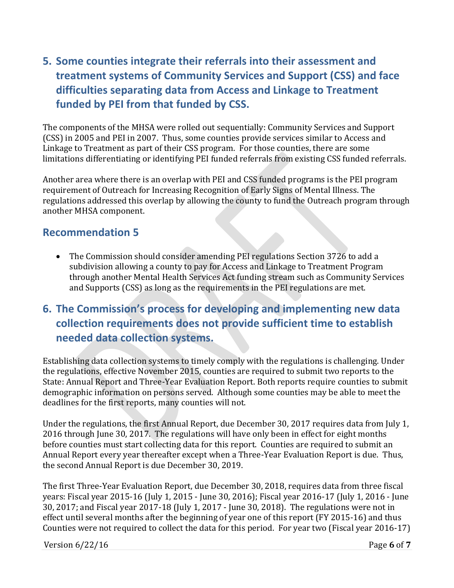# **5. Some counties integrate their referrals into their assessment and treatment systems of Community Services and Support (CSS) and face difficulties separating data from Access and Linkage to Treatment funded by PEI from that funded by CSS.**

The components of the MHSA were rolled out sequentially: Community Services and Support (CSS) in 2005 and PEI in 2007. Thus, some counties provide services similar to Access and Linkage to Treatment as part of their CSS program. For those counties, there are some limitations differentiating or identifying PEI funded referrals from existing CSS funded referrals.

Another area where there is an overlap with PEI and CSS funded programs is the PEI program requirement of Outreach for Increasing Recognition of Early Signs of Mental Illness. The regulations addressed this overlap by allowing the county to fund the Outreach program through another MHSA component.

#### **Recommendation 5**

 The Commission should consider amending PEI regulations Section 3726 to add a subdivision allowing a county to pay for Access and Linkage to Treatment Program through another Mental Health Services Act funding stream such as Community Services and Supports (CSS) as long as the requirements in the PEI regulations are met.

## **6. The Commission's process for developing and implementing new data collection requirements does not provide sufficient time to establish needed data collection systems.**

Establishing data collection systems to timely comply with the regulations is challenging. Under the regulations, effective November 2015, counties are required to submit two reports to the State: Annual Report and Three-Year Evaluation Report. Both reports require counties to submit demographic information on persons served. Although some counties may be able to meet the deadlines for the first reports, many counties will not.

Under the regulations, the first Annual Report, due December 30, 2017 requires data from July 1, 2016 through June 30, 2017. The regulations will have only been in effect for eight months before counties must start collecting data for this report. Counties are required to submit an Annual Report every year thereafter except when a Three-Year Evaluation Report is due. Thus, the second Annual Report is due December 30, 2019.

The first Three-Year Evaluation Report, due December 30, 2018, requires data from three fiscal years: Fiscal year 2015-16 (July 1, 2015 - June 30, 2016); Fiscal year 2016-17 (July 1, 2016 - June 30, 2017; and Fiscal year 2017-18 (July 1, 2017 - June 30, 2018). The regulations were not in effect until several months after the beginning of year one of this report (FY 2015-16) and thus Counties were not required to collect the data for this period. For year two (Fiscal year 2016-17)